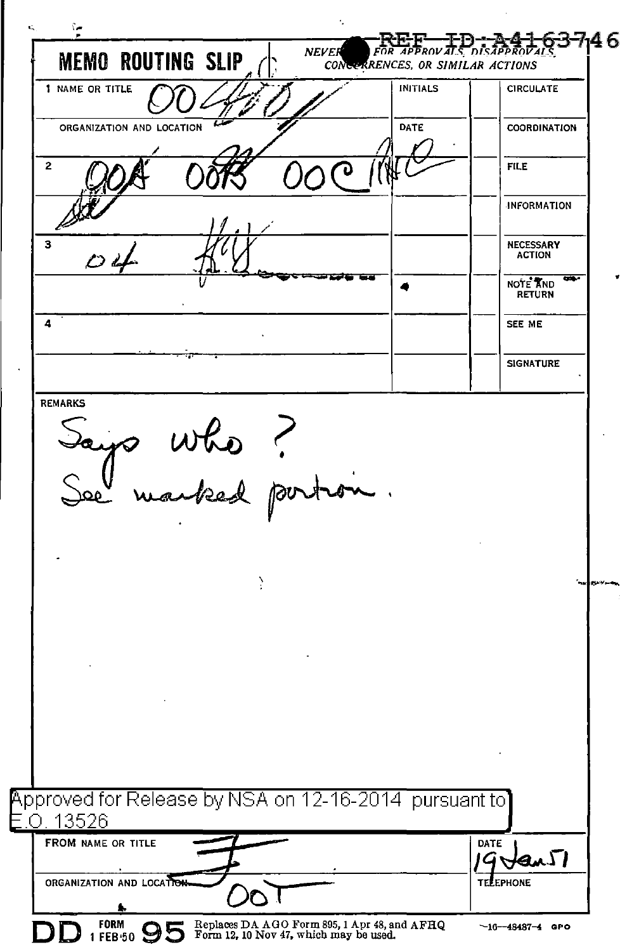يم؟ 637146 **NEVER** ักโรลิคัค **MEMO ROUTING SLIP** CONCERRENCES, OR SIMILAR ACTIONS 1 NAME OR TITLE **INITIALS CIRCULATE** ORGANIZATION AND LOCATION DATE COORDINATION  $\overline{2}$ **FILE INFORMATION**  $\overline{\mathbf{3}}$ **NECESSARY ACTION** NOTE AND **RETURN**  $\overline{a}$ SEE ME **SIGNATURE REMARKS** who ?<br>racked port Approved for Release by NSA on 12-16-2014 pursuant to  $O.13526$ FROM NAME OR TITLE DATE ΣI ORGANIZATION AND LOCATION FPHONE FORM Replaces DA AGO Form 895, 1 Apr 48, and AFHQ<br>Form 12, 10 Nov 47, which may be used.  $-16 - 48487 - 4$  GPO 1 FEB 50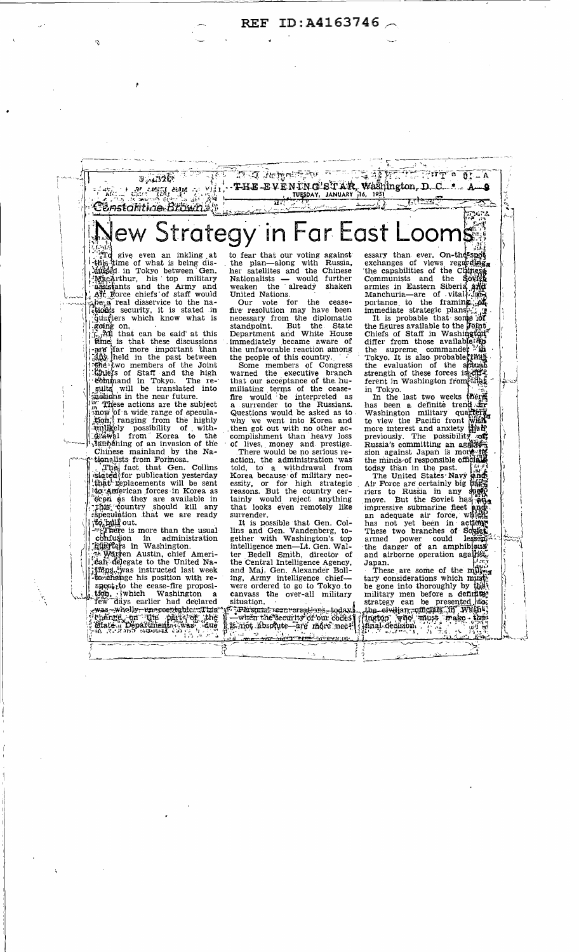ID:A4163746 **REF** 



spectric the cease-fire proposition, which Washington a<br>few days earlier had declared rew days earner into the content of the content of the content of the content of the content of the content of the content of the content of the content of the content of the content of the content of the content of the co ing, Army intelligence chief—<br>were ordered to go to Tokyo to canvass the over-all military situation.

Experience de l'angle de l'angle de l'angle<br>Carten the security of our codes<br>L'angle descripte de la présence : ļ

These are some of the multiple<br>tary considerations which muscle<br>be gone into thoroughly by the<br>military men before a definition<br>strategy can be presented into<br>the strategy can be presented into<br>the strategy can be presente

'N.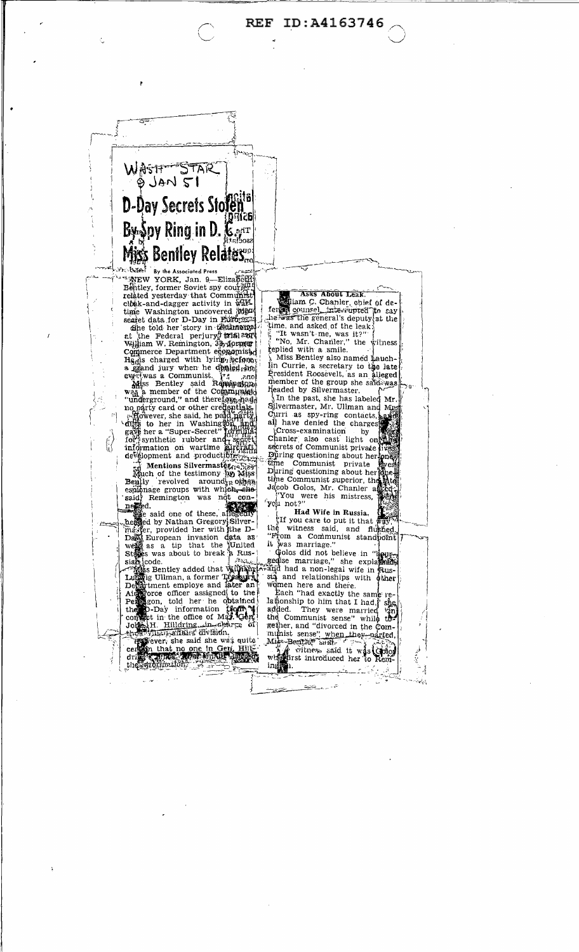ID:A4163746 **REF** 



AREW YORK, Jan. 9—Elizapeth<br>Bentley, former Soviet spy courrer related yesterday that Commun clock-and-dagger activity in Wartime Washington uncovered Map **Robot** 

civat-aind-<br>
time Washington uncovered interests and the Washington uncovered interests<br>
seared data for D-Day in European<br>
time Federal perjury forth a sort<br>
william W. Remington, 3by<br>
permetric communistics Hammed Commun

response and production of the state of the state of the state of the state of the state of the state of the state of the state of the state of the state of the state of the state of the state of the state of the state of

espionage groups with which con-<br>said Remington was not con-<br> $\frac{1}{2}$ <br> $\frac{1}{2}$ <br> $\frac{1}{2}$ <br> $\frac{1}{2}$  and one of these allegedly<br> $\frac{1}{2}$ <br> $\frac{1}{2}$ <br> $\frac{1}{2}$ <br> $\frac{1}{2}$ <br> $\frac{1}{2}$ <br> $\frac{1}{2}$ <br> $\frac{1}{2}$ <br> $\frac{1}{2}$ <br> $\frac{1}{2}$ <br> $\frac{$ 

States was about to break a Russian contract and the contract of the contract of the contract of the contract of the contract of the contract of contract of the contract of the contract of the contract of the contract of t Johns H. Hilldring ... in clair contact Hilldring

如 celebration and the said she was quite

Asks About Leak. diam C. Chanler, chief of deferent counsel interrupted to say

he was the general's deputy at the<br>
time, and asked of the leak<br>  $\ddot{y}$  "It wasn't me, was it?"<br>
("No, Mr. Chanler," the witness<br>
seplied with a smile.<br>  $\ddot{y}$  Miss Bentley also named hauch-<br>
In Currie, a secretary to headed by Silvermaster.<br>In the past, she has la

In the past, she has labeled with<br>Silvermaster, Mr. Ullman and Mission Curri as spy-ring contacts, and<br>all have denied the charges

et have defined the charged<br>Chanler also cast light one different secrets of Communist private<br>secrets of Communist private During questioning about her pne  $\rm 6$ ime Communist private During questioning about her Lime Communist superior, the<br>disc of Golos, Mr. Chanler as<br> $\frac{1}{2}$ <br> $\frac{1}{2}$   $\frac{1}{2}$   $\frac{1}{2}$   $\frac{1}{2}$   $\frac{1}{2}$   $\frac{1}{2}$   $\frac{1}{2}$   $\frac{1}{2}$   $\frac{1}{2}$   $\frac{1}{2}$   $\frac{1}{2}$   $\frac{1}{2}$   $\frac{1}{2}$   $\frac{1}{2}$   $\frac{1}{2}$   $\frac$ 

Had Wife in Russia.

If you care to put it that way the witness said, and flughed.<br>"From a Communist standform!"<br>It was marriage."

it was marriage."<br>
Golos did not believe in "leugen<br>
gedise marriage," she explaned it<br>
and had a non-legal wife in Rus-

sta and relationships with  $\phi$  then<br>winnen here and there.<br>Each "had exactly the same re-<br>lationship to him that I had," she<br>added. They were married  $\frac{\sqrt{2}}{2}n$ <br>the Communist sense" while the<br>getter, and "divored in t she<br>Yinj<br>to-

munist sense" when they parted,<br>Miss-Benythey said to what they have a sense of the sense of the sense of the sense of the sense of the sense of the sense of the sense of the sense of the sense of the sense of the sense of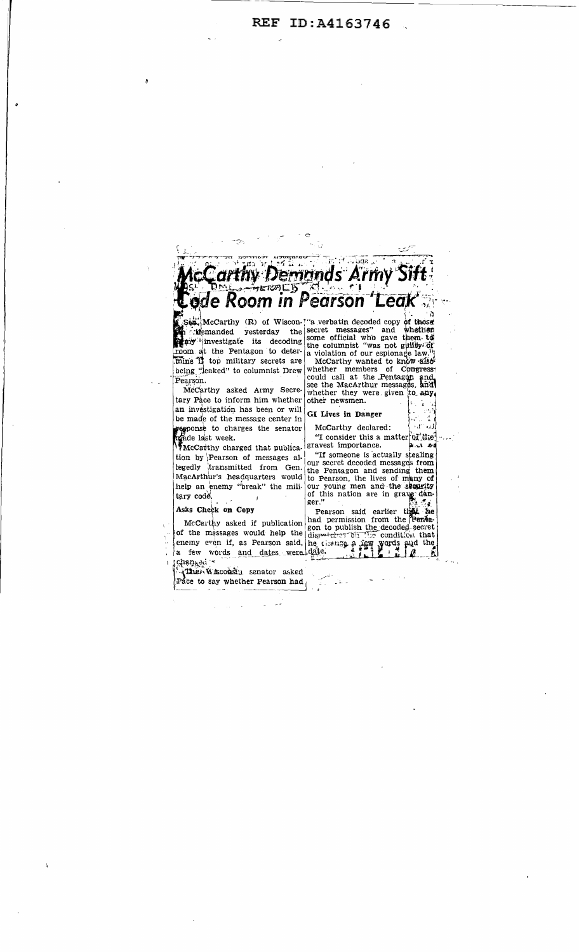

Sepa<sub>ci</sub>McCarthy (R) of Wiscon-<sup>1</sup> a verbatin decoded copy of those<br>in cidemanded yesterday the secret messages" and whether<br>my investigate its decoding some official who gave them to<br>room at the Pentagon to deter a violat being "leaked" to columnist Drew Pearson.

McCarthy asked Army Secretary Pace to inform him whether an investigation has been or will be made of the message center in response to charges the senator McCarthy declared: (Fig. 1)

tion by Pearson of messages altion by Pearson or messages all our secret decoded messages from<br>legedly transmitted from Gen. the Pentagon and sending them

Asks Check on Copy<br>
McCarthy asked if publication and permission from the Pender<br>
of the messages would help the dispositor: 011 110 condition that<br>
enemy even if, as Pearson said, he change a new words and dates were date

Pace to say whether Pearson had  $_0$ 

a violation of our espionage law.<br>
McCarthy wanted to know affect<br>
whether members of Congress!<br>
could call at the Pentagon and<br>
see the MacArthur messages, and whether they were given to any. other newsmen.  $\mathbf{r}$ 

GI Lives in Danger

 $\sim$  f<sup>o</sup> and

"If someone is actually stealing regeary transmitted from the Pentagon and sending them.<br>
MacArthur's headquarters would to Pearson, the lives of many of<br>
help an enemy "break" the mili-our young men and the sequentry<br>
tary code,<br>
for this nation are in g

Ñ